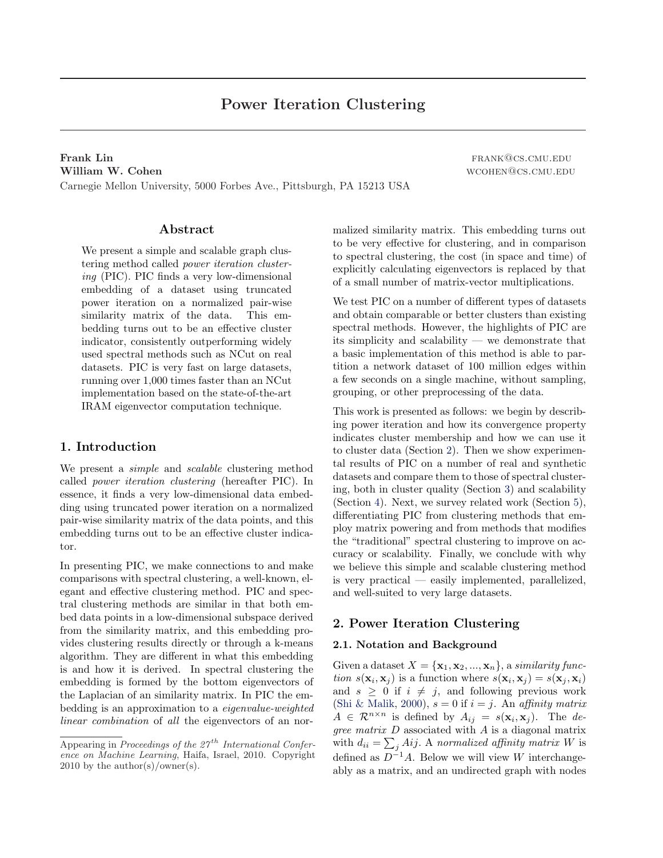# Power Iteration Clustering

Frank Lin FRANK GCS.CMU.EDU William W. Cohen **William W. Cohen** W. Cohen wcohen wcohen@cs.cmu.edu Carnegie Mellon University, 5000 Forbes Ave., Pittsburgh, PA 15213 USA

# Abstract

We present a simple and scalable graph clustering method called power iteration clustering (PIC). PIC finds a very low-dimensional embedding of a dataset using truncated power iteration on a normalized pair-wise similarity matrix of the data. This embedding turns out to be an effective cluster indicator, consistently outperforming widely used spectral methods such as NCut on real datasets. PIC is very fast on large datasets, running over 1,000 times faster than an NCut implementation based on the state-of-the-art IRAM eigenvector computation technique.

#### 1. Introduction

We present a simple and scalable clustering method called power iteration clustering (hereafter PIC). In essence, it finds a very low-dimensional data embedding using truncated power iteration on a normalized pair-wise similarity matrix of the data points, and this embedding turns out to be an effective cluster indicator.

In presenting PIC, we make connections to and make comparisons with spectral clustering, a well-known, elegant and effective clustering method. PIC and spectral clustering methods are similar in that both embed data points in a low-dimensional subspace derived from the similarity matrix, and this embedding provides clustering results directly or through a k-means algorithm. They are different in what this embedding is and how it is derived. In spectral clustering the embedding is formed by the bottom eigenvectors of the Laplacian of an similarity matrix. In PIC the embedding is an approximation to a eigenvalue-weighted linear combination of all the eigenvectors of an normalized similarity matrix. This embedding turns out to be very effective for clustering, and in comparison to spectral clustering, the cost (in space and time) of explicitly calculating eigenvectors is replaced by that of a small number of matrix-vector multiplications.

We test PIC on a number of different types of datasets and obtain comparable or better clusters than existing spectral methods. However, the highlights of PIC are its simplicity and scalability — we demonstrate that a basic implementation of this method is able to partition a network dataset of 100 million edges within a few seconds on a single machine, without sampling, grouping, or other preprocessing of the data.

This work is presented as follows: we begin by describing power iteration and how its convergence property indicates cluster membership and how we can use it to cluster data (Section 2). Then we show experimental results of PIC on a number of real and synthetic datasets and compare them to those of spectral clustering, both in cluster quality (Section 3) and scalability (Section 4). Next, we survey related work (Section 5), differentiating PIC from clustering methods that employ matrix powering and from methods that modifies the "traditional" spectral clustering to improve on accuracy or scalability. Finally, we conclude with why we believe this simple and scalable clustering method is very practical — easily implemented, parallelized, and well-suited to very large datasets.

# 2. Power Iteration Clustering

#### 2.1. Notation and Background

Given a dataset  $X = {\mathbf{x}_1, \mathbf{x}_2, ..., \mathbf{x}_n}$ , a similarity func*tion*  $s(\mathbf{x}_i, \mathbf{x}_j)$  is a function where  $s(\mathbf{x}_i, \mathbf{x}_j) = s(\mathbf{x}_j, \mathbf{x}_i)$ and  $s \geq 0$  if  $i \neq j$ , and following previous work (Shi & Malik, 2000),  $s = 0$  if  $i = j$ . An affinity matrix  $A \in \mathcal{R}^{n \times n}$  is defined by  $A_{ij} = s(\mathbf{x}_i, \mathbf{x}_j)$ . The degree matrix  $D$  associated with  $A$  is a diagonal matrix with  $d_{ii} = \sum_j A_{ij}$ . A normalized affinity matrix W is defined as  $D^{-1}A$ . Below we will view W interchangeably as a matrix, and an undirected graph with nodes

Appearing in Proceedings of the  $27<sup>th</sup>$  International Conference on Machine Learning, Haifa, Israel, 2010. Copyright 2010 by the author(s)/owner(s).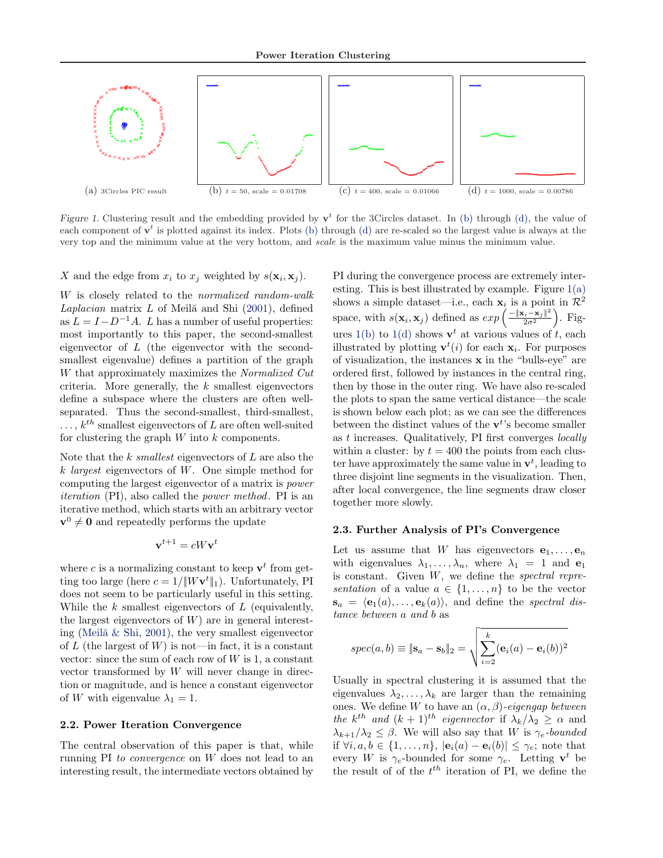

Figure 1. Clustering result and the embedding provided by  $v^t$  for the 3Circles dataset. In (b) through (d), the value of each component of  $v^t$  is plotted against its index. Plots (b) through (d) are re-scaled so the largest value is always at the very top and the minimum value at the very bottom, and scale is the maximum value minus the minimum value.

X and the edge from  $x_i$  to  $x_j$  weighted by  $s(\mathbf{x}_i, \mathbf{x}_j)$ .

W is closely related to the normalized random-walk Laplacian matrix  $L$  of Meila<sup>n</sup> and Shi (2001), defined as  $L = I - D^{-1}A$ . L has a number of useful properties: most importantly to this paper, the second-smallest eigenvector of L (the eigenvector with the secondsmallest eigenvalue) defines a partition of the graph W that approximately maximizes the Normalized Cut criteria. More generally, the  $k$  smallest eigenvectors define a subspace where the clusters are often wellseparated. Thus the second-smallest, third-smallest,  $\dots, k^{th}$  smallest eigenvectors of L are often well-suited for clustering the graph  $W$  into  $k$  components.

Note that the  $k$  smallest eigenvectors of  $L$  are also the k largest eigenvectors of W. One simple method for computing the largest eigenvector of a matrix is power iteration (PI), also called the power method. PI is an iterative method, which starts with an arbitrary vector  $v^0 \neq 0$  and repeatedly performs the update

$$
\mathbf{v}^{t+1} = cW\mathbf{v}^t
$$

where c is a normalizing constant to keep  $\mathbf{v}^t$  from getting too large (here  $c = 1/||W\mathbf{v}^t||_1$ ). Unfortunately, PI does not seem to be particularly useful in this setting. While the  $k$  smallest eigenvectors of  $L$  (equivalently, the largest eigenvectors of  $W$ ) are in general interesting (Meil $\&$  Shi, 2001), the very smallest eigenvector of L (the largest of W) is not—in fact, it is a constant vector: since the sum of each row of  $W$  is 1, a constant vector transformed by  $W$  will never change in direction or magnitude, and is hence a constant eigenvector of W with eigenvalue  $\lambda_1 = 1$ .

#### 2.2. Power Iteration Convergence

The central observation of this paper is that, while running PI to convergence on W does not lead to an interesting result, the intermediate vectors obtained by PI during the convergence process are extremely interesting. This is best illustrated by example. Figure  $1(a)$ shows a simple dataset—i.e., each  $\mathbf{x}_i$  is a point in  $\mathcal{R}^2$ shows a simple dataset—i.e., each  $\mathbf{x}_i$  is a point in  $\mathcal{K}^2$ <br>space, with  $s(\mathbf{x}_i, \mathbf{x}_j)$  defined as  $exp\left(\frac{-\|\mathbf{x}_i - \mathbf{x}_j\|^2}{2\sigma^2}\right)$ . Figures 1(b) to 1(d) shows  $\mathbf{v}^t$  at various values of t, each illustrated by plotting  $\mathbf{v}^t(i)$  for each  $\mathbf{x}_i$ . For purposes of visualization, the instances x in the "bulls-eye" are ordered first, followed by instances in the central ring, then by those in the outer ring. We have also re-scaled the plots to span the same vertical distance—the scale is shown below each plot; as we can see the differences between the distinct values of the  $v<sup>t</sup>$ 's become smaller as t increases. Qualitatively, PI first converges locally within a cluster: by  $t = 400$  the points from each cluster have approximately the same value in  $v^t$ , leading to three disjoint line segments in the visualization. Then, after local convergence, the line segments draw closer together more slowly.

#### 2.3. Further Analysis of PI's Convergence

Let us assume that W has eigenvectors  $e_1, \ldots, e_n$ with eigenvalues  $\lambda_1, \ldots, \lambda_n$ , where  $\lambda_1 = 1$  and  $e_1$ is constant. Given  $W$ , we define the spectral representation of a value  $a \in \{1, \ldots, n\}$  to be the vector  $\mathbf{s}_a = \langle \mathbf{e}_1(a), \ldots, \mathbf{e}_k(a) \rangle$ , and define the spectral distance between a and b as

$$
spec(a,b) \equiv \|\mathbf{s}_a - \mathbf{s}_b\|_2 = \sqrt{\sum_{i=2}^k (\mathbf{e}_i(a) - \mathbf{e}_i(b))^2}
$$

Usually in spectral clustering it is assumed that the eigenvalues  $\lambda_2, \ldots, \lambda_k$  are larger than the remaining ones. We define W to have an  $(\alpha, \beta)$ -eigengap between the k<sup>th</sup> and  $(k + 1)^{th}$  eigenvector if  $\lambda_k/\lambda_2 \geq \alpha$  and  $\lambda_{k+1}/\lambda_2 \leq \beta$ . We will also say that W is  $\gamma_e$ -bounded if  $\forall i, a, b \in \{1, \ldots, n\}, |\mathbf{e}_i(a) - \mathbf{e}_i(b)| \leq \gamma_e$ ; note that every W is  $\gamma_e$ -bounded for some  $\gamma_e$ . Letting  $\mathbf{v}^t$  be the result of of the  $t^{th}$  iteration of PI, we define the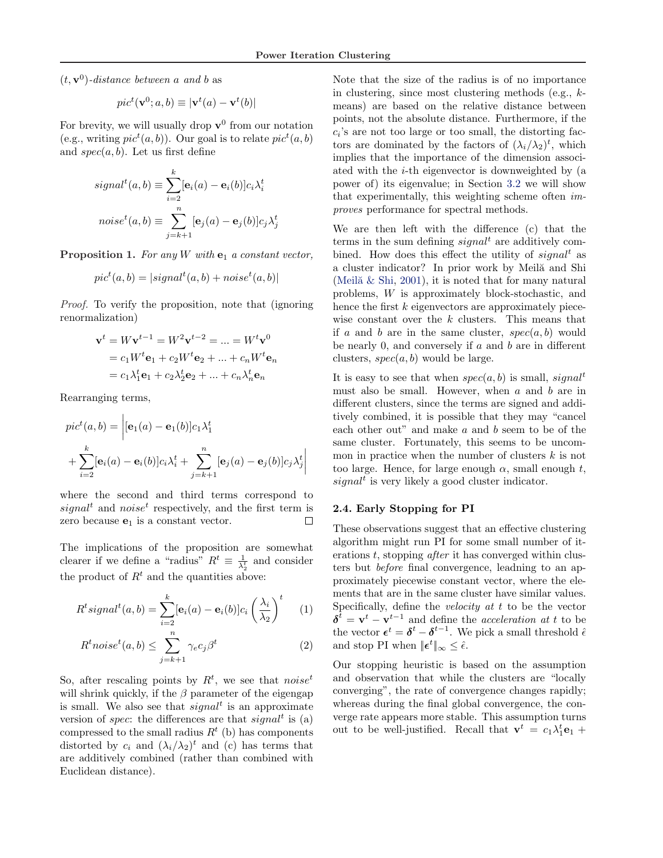$(t, \mathbf{v}^0)$ -distance between a and b as

$$
pict(v0; a, b) \equiv |vt(a) - vt(b)|
$$

For brevity, we will usually drop  $\mathbf{v}^0$  from our notation (e.g., writing  $pic<sup>t</sup>(a, b)$ ). Our goal is to relate  $pic<sup>t</sup>(a, b)$ and  $spec(a, b)$ . Let us first define

$$
signal^{t}(a,b) \equiv \sum_{i=2}^{k} [\mathbf{e}_{i}(a) - \mathbf{e}_{i}(b)]c_{i}\lambda_{i}^{t}
$$

$$
noise^{t}(a,b) \equiv \sum_{j=k+1}^{n} [\mathbf{e}_{j}(a) - \mathbf{e}_{j}(b)]c_{j}\lambda_{j}^{t}
$$

**Proposition 1.** For any W with  $e_1$  a constant vector,

$$
pict(a, b) = |signalt(a, b) + noiset(a, b)|
$$

Proof. To verify the proposition, note that (ignoring renormalization)

$$
\mathbf{v}^{t} = W\mathbf{v}^{t-1} = W^{2}\mathbf{v}^{t-2} = \dots = W^{t}\mathbf{v}^{0}
$$

$$
= c_{1}W^{t}\mathbf{e}_{1} + c_{2}W^{t}\mathbf{e}_{2} + \dots + c_{n}W^{t}\mathbf{e}_{n}
$$

$$
= c_{1}\lambda_{1}^{t}\mathbf{e}_{1} + c_{2}\lambda_{2}^{t}\mathbf{e}_{2} + \dots + c_{n}\lambda_{n}^{t}\mathbf{e}_{n}
$$

Rearranging terms,

$$
pict(a, b) = |[e1(a) – e1(b)]c1\lambdat1\n+ \sum_{i=2}^{k} [ei(a) – ei(b)]ci\lambdati + \sum_{j=k+1}^{n} [ej(a) – ej(b)]cj\lambdatj|
$$

where the second and third terms correspond to signal<sup>t</sup> and noise<sup>t</sup> respectively, and the first term is zero because  $e_1$  is a constant vector.  $\Box$ 

The implications of the proposition are somewhat clearer if we define a "radius"  $R^t \equiv \frac{1}{\lambda_2^t}$  and consider the product of  $R<sup>t</sup>$  and the quantities above:

$$
R^{t}signal^{t}(a,b) = \sum_{i=2}^{k} [\mathbf{e}_{i}(a) - \mathbf{e}_{i}(b)]c_{i}\left(\frac{\lambda_{i}}{\lambda_{2}}\right)^{t}
$$
 (1)

$$
R^t noise^t(a,b) \le \sum_{j=k+1}^n \gamma_e c_j \beta^t \tag{2}
$$

So, after rescaling points by  $R^t$ , we see that noise<sup>t</sup> will shrink quickly, if the  $\beta$  parameter of the eigengap is small. We also see that  $signal$  is an approximate version of *spec*: the differences are that  $signal<sup>t</sup>$  is (a) compressed to the small radius  $R<sup>t</sup>$  (b) has components distorted by  $c_i$  and  $(\lambda_i/\lambda_2)^t$  and (c) has terms that are additively combined (rather than combined with Euclidean distance).

Note that the size of the radius is of no importance in clustering, since most clustering methods (e.g., kmeans) are based on the relative distance between points, not the absolute distance. Furthermore, if the  $c_i$ 's are not too large or too small, the distorting factors are dominated by the factors of  $(\lambda_i/\lambda_2)^t$ , which implies that the importance of the dimension associated with the i-th eigenvector is downweighted by (a power of) its eigenvalue; in Section 3.2 we will show that experimentally, this weighting scheme often improves performance for spectral methods.

We are then left with the difference (c) that the terms in the sum defining  $signal<sup>t</sup>$  are additively combined. How does this effect the utility of  $signal<sup>t</sup>$  as a cluster indicator? In prior work by Meilă and Shi (Meil $\&$  Shi, 2001), it is noted that for many natural problems, W is approximately block-stochastic, and hence the first k eigenvectors are approximately piecewise constant over the  $k$  clusters. This means that if a and b are in the same cluster,  $spec(a, b)$  would be nearly 0, and conversely if  $a$  and  $b$  are in different clusters,  $spec(a, b)$  would be large.

It is easy to see that when  $spec(a, b)$  is small, signal<sup>t</sup> must also be small. However, when  $a$  and  $b$  are in different clusters, since the terms are signed and additively combined, it is possible that they may "cancel each other out" and make a and b seem to be of the same cluster. Fortunately, this seems to be uncommon in practice when the number of clusters  $k$  is not too large. Hence, for large enough  $\alpha$ , small enough t,  $signal<sup>t</sup>$  is very likely a good cluster indicator.

#### 2.4. Early Stopping for PI

These observations suggest that an effective clustering algorithm might run PI for some small number of iterations  $t$ , stopping *after* it has converged within clusters but before final convergence, leadning to an approximately piecewise constant vector, where the elements that are in the same cluster have similar values. Specifically, define the velocity at t to be the vector  $\delta^{\bar{t}} = \mathbf{v}^{t} - \mathbf{v}^{t-1}$  and define the *acceleration at t* to be the vector  $\boldsymbol{\epsilon}^t = \boldsymbol{\delta}^t - \boldsymbol{\delta}^{t-1}$ . We pick a small threshold  $\hat{\boldsymbol{\epsilon}}$ and stop PI when  $||\boldsymbol{\epsilon}^t||_{\infty} \leq \hat{\epsilon}$ .

Our stopping heuristic is based on the assumption and observation that while the clusters are "locally converging", the rate of convergence changes rapidly; whereas during the final global convergence, the converge rate appears more stable. This assumption turns out to be well-justified. Recall that  $\mathbf{v}^t = c_1 \lambda_1^t \mathbf{e}_1 +$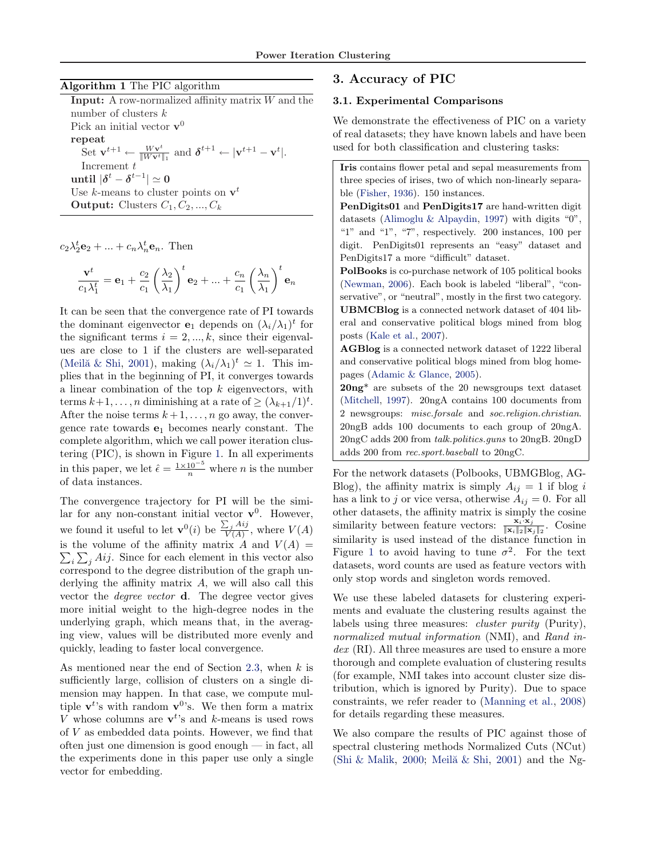#### Algorithm 1 The PIC algorithm

**Input:** A row-normalized affinity matrix  $W$  and the number of clusters k Pick an initial vector  $\mathbf{v}^0$ repeat Set  $\mathbf{v}^{t+1} \leftarrow \frac{W\mathbf{v}^t}{\|W\mathbf{v}^t\|}$  $\frac{W\mathbf{v}^t}{\|W\mathbf{v}^t\|_1}$  and  $\boldsymbol{\delta}^{t+1} \leftarrow |\mathbf{v}^{t+1} - \mathbf{v}^t|.$ Increment  $t$  $\text{until } |\boldsymbol{\delta}^t - \boldsymbol{\delta}^{t-1}| \simeq \mathbf{0}$ Use k-means to cluster points on  $v^t$ **Output:** Clusters  $C_1, C_2, ..., C_k$ 

 $c_2\lambda_2^t \mathbf{e}_2 + \dots + c_n\lambda_n^t \mathbf{e}_n$ . Then

 $\mathbf{v}^t$  $\frac{\mathbf{v}^t}{c_1\lambda_1^t} = \mathbf{e}_1 + \frac{c_2}{c_1}$  $\overline{c_1}$  $\sqrt{\lambda_2}$  $\lambda_1$  $\sqrt{t}$  $e_2 + ... + \frac{c_n}{n}$  $\overline{c_1}$  $\sqrt{\lambda_n}$  $\lambda_1$  $\sqrt{t}$  $\mathbf{e}_n$ 

It can be seen that the convergence rate of PI towards the dominant eigenvector  $\mathbf{e}_1$  depends on  $(\lambda_i/\lambda_1)^t$  for the significant terms  $i = 2, ..., k$ , since their eigenvalues are close to 1 if the clusters are well-separated (Meilă & Shi, 2001), making  $(\lambda_i/\lambda_1)^t \simeq 1$ . This implies that in the beginning of PI, it converges towards a linear combination of the top  $k$  eigenvectors, with terms  $k+1, \ldots, n$  diminishing at a rate of  $\geq (\lambda_{k+1}/1)^t$ . After the noise terms  $k+1, \ldots, n$  go away, the convergence rate towards  $e_1$  becomes nearly constant. The complete algorithm, which we call power iteration clustering (PIC), is shown in Figure 1. In all experiments in this paper, we let  $\hat{\epsilon} = \frac{1 \times 10^{-5}}{n}$  where *n* is the number of data instances.

The convergence trajectory for PI will be the similar for any non-constant initial vector  $\mathbf{v}^0$ . However, we found it useful to let  $\mathbf{v}^0(i)$  be  $\frac{\sum_j Ai_j}{V(A)}$ , where  $V(A)$ is the volume of the affinity matrix A and  $V(A) = \sum_{n=0}^{\infty} V(n)$  $i\sum_j Aij$ . Since for each element in this vector also correspond to the degree distribution of the graph underlying the affinity matrix  $A$ , we will also call this vector the degree vector d. The degree vector gives more initial weight to the high-degree nodes in the underlying graph, which means that, in the averaging view, values will be distributed more evenly and quickly, leading to faster local convergence.

As mentioned near the end of Section 2.3, when  $k$  is sufficiently large, collision of clusters on a single dimension may happen. In that case, we compute multiple  $v^t$ 's with random  $v^0$ 's. We then form a matrix V whose columns are  $v^t$ 's and k-means is used rows of V as embedded data points. However, we find that often just one dimension is good enough — in fact, all the experiments done in this paper use only a single vector for embedding.

# 3. Accuracy of PIC

#### 3.1. Experimental Comparisons

We demonstrate the effectiveness of PIC on a variety of real datasets; they have known labels and have been used for both classification and clustering tasks:

Iris contains flower petal and sepal measurements from three species of irises, two of which non-linearly separable (Fisher, 1936). 150 instances.

PenDigits01 and PenDigits17 are hand-written digit datasets (Alimoglu & Alpaydin, 1997) with digits "0", "1" and "1", "7", respectively. 200 instances, 100 per digit. PenDigits01 represents an "easy" dataset and PenDigits17 a more "difficult" dataset.

PolBooks is co-purchase network of 105 political books (Newman, 2006). Each book is labeled "liberal", "conservative", or "neutral", mostly in the first two category. UBMCBlog is a connected network dataset of 404 liberal and conservative political blogs mined from blog posts (Kale et al., 2007).

AGBlog is a connected network dataset of 1222 liberal and conservative political blogs mined from blog homepages (Adamic & Glance, 2005).

20ng\* are subsets of the 20 newsgroups text dataset (Mitchell, 1997). 20ngA contains 100 documents from 2 newsgroups: misc.forsale and soc.religion.christian. 20ngB adds 100 documents to each group of 20ngA. 20ngC adds 200 from talk.politics.guns to 20ngB. 20ngD adds 200 from rec.sport.baseball to 20ngC.

For the network datasets (Polbooks, UBMGBlog, AG-Blog), the affinity matrix is simply  $A_{ij} = 1$  if blog i has a link to j or vice versa, otherwise  $A_{ij} = 0$ . For all other datasets, the affinity matrix is simply the cosine similarity between feature vectors:  $\frac{\mathbf{x}_i \cdot \mathbf{x}_j}{\|\mathbf{x}_i\|_2 \|\mathbf{x}_j\|_2}$ . Cosine similarity is used instead of the distance function in Figure 1 to avoid having to tune  $\sigma^2$ . For the text datasets, word counts are used as feature vectors with only stop words and singleton words removed.

We use these labeled datasets for clustering experiments and evaluate the clustering results against the labels using three measures: cluster purity (Purity), normalized mutual information (NMI), and Rand index (RI). All three measures are used to ensure a more thorough and complete evaluation of clustering results (for example, NMI takes into account cluster size distribution, which is ignored by Purity). Due to space constraints, we refer reader to (Manning et al., 2008) for details regarding these measures.

We also compare the results of PIC against those of spectral clustering methods Normalized Cuts (NCut) (Shi & Malik, 2000; Meilă & Shi, 2001) and the Ng-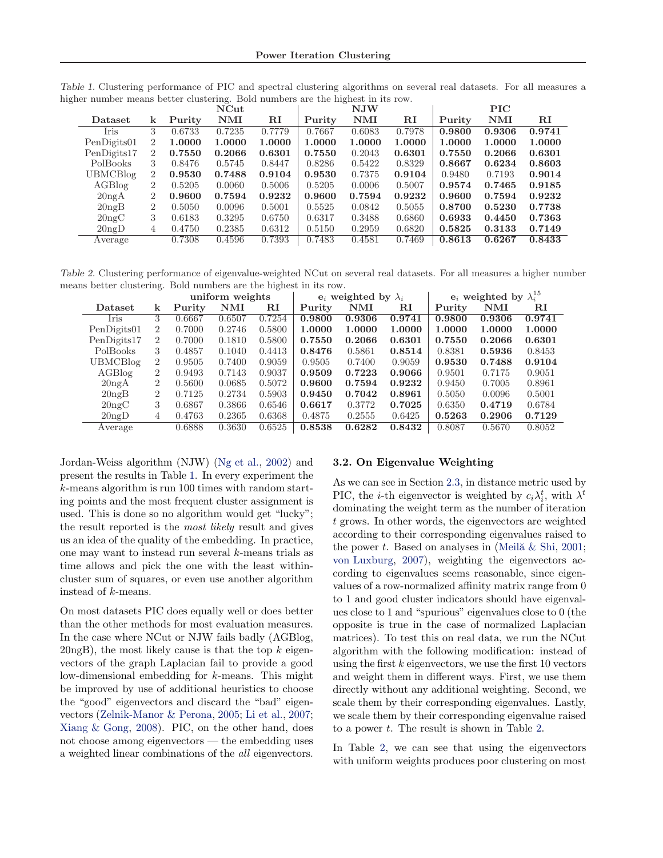|                    |                |        | NCut       |             |        | <b>NJW</b> |             |        | <b>PIC</b> |          |
|--------------------|----------------|--------|------------|-------------|--------|------------|-------------|--------|------------|----------|
| Dataset            | k              | Purity | <b>NMI</b> | $_{\rm RI}$ | Purity | <b>NMI</b> | $_{\rm RI}$ | Purity | <b>NMI</b> | $\rm RI$ |
| Iris               | 3              | 0.6733 | 0.7235     | 0.7779      | 0.7667 | 0.6083     | 0.7978      | 0.9800 | 0.9306     | 0.9741   |
| PenDigits01        | $\overline{2}$ | 1.0000 | 1.0000     | 1.0000      | 1.0000 | 1.0000     | 1.0000      | 1.0000 | 1.0000     | 1.0000   |
| PenDigits17        | 2              | 0.7550 | 0.2066     | 0.6301      | 0.7550 | 0.2043     | 0.6301      | 0.7550 | 0.2066     | 0.6301   |
| PolBooks           | 3              | 0.8476 | 0.5745     | 0.8447      | 0.8286 | 0.5422     | 0.8329      | 0.8667 | 0.6234     | 0.8603   |
| <b>UBMCBlog</b>    | 2              | 0.9530 | 0.7488     | 0.9104      | 0.9530 | 0.7375     | 0.9104      | 0.9480 | 0.7193     | 0.9014   |
| AGBlog             | $\overline{2}$ | 0.5205 | 0.0060     | 0.5006      | 0.5205 | 0.0006     | 0.5007      | 0.9574 | 0.7465     | 0.9185   |
| 20 <sub>ngA</sub>  | $\overline{2}$ | 0.9600 | 0.7594     | 0.9232      | 0.9600 | 0.7594     | 0.9232      | 0.9600 | 0.7594     | 0.9232   |
| 20 <sub>ng</sub> B | 2              | 0.5050 | 0.0096     | 0.5001      | 0.5525 | 0.0842     | 0.5055      | 0.8700 | 0.5230     | 0.7738   |
| 20 <sub>ngC</sub>  | 3              | 0.6183 | 0.3295     | 0.6750      | 0.6317 | 0.3488     | 0.6860      | 0.6933 | 0.4450     | 0.7363   |
| 20 <sub>ng</sub> D | 4              | 0.4750 | 0.2385     | 0.6312      | 0.5150 | 0.2959     | 0.6820      | 0.5825 | 0.3133     | 0.7149   |
| Average            |                | 0.7308 | 0.4596     | 0.7393      | 0.7483 | 0.4581     | 0.7469      | 0.8613 | 0.6267     | 0.8433   |

Table 1. Clustering performance of PIC and spectral clustering algorithms on several real datasets. For all measures a higher number means better clustering. Bold numbers are the highest in its row.

Table 2. Clustering performance of eigenvalue-weighted NCut on several real datasets. For all measures a higher number means better clustering. Bold numbers are the highest in its row.

|                    |                | uniform weights |        | $e_i$ weighted by $\lambda_i$ |        |                | $e_i$ weighted by $\lambda_i^{15}$ |        |                |             |
|--------------------|----------------|-----------------|--------|-------------------------------|--------|----------------|------------------------------------|--------|----------------|-------------|
| Dataset            | k              | Purity          | NMI    | $_{\rm RI}$                   | Purity | $\mathbf{NMI}$ | ${\bf RI}$                         | Purity | $\mathbf{NMI}$ | $_{\rm RI}$ |
| Iris               | 3              | 0.6667          | 0.6507 | 0.7254                        | 0.9800 | 0.9306         | 0.9741                             | 0.9800 | 0.9306         | 0.9741      |
| PenDigits01        | $\overline{2}$ | 0.7000          | 0.2746 | 0.5800                        | 1.0000 | 1.0000         | 1.0000                             | 1.0000 | 1.0000         | 1.0000      |
| PenDigits17        | $\overline{2}$ | 0.7000          | 0.1810 | 0.5800                        | 0.7550 | 0.2066         | 0.6301                             | 0.7550 | 0.2066         | 0.6301      |
| PolBooks           | 3              | 0.4857          | 0.1040 | 0.4413                        | 0.8476 | 0.5861         | 0.8514                             | 0.8381 | 0.5936         | 0.8453      |
| <b>UBMCBlog</b>    | 2              | 0.9505          | 0.7400 | 0.9059                        | 0.9505 | 0.7400         | 0.9059                             | 0.9530 | 0.7488         | 0.9104      |
| AGBlog             | $\overline{2}$ | 0.9493          | 0.7143 | 0.9037                        | 0.9509 | 0.7223         | 0.9066                             | 0.9501 | 0.7175         | 0.9051      |
| 20 <sub>ngA</sub>  | $\overline{2}$ | 0.5600          | 0.0685 | 0.5072                        | 0.9600 | 0.7594         | 0.9232                             | 0.9450 | 0.7005         | 0.8961      |
| 20 <sub>ng</sub> B | $\overline{2}$ | 0.7125          | 0.2734 | 0.5903                        | 0.9450 | 0.7042         | 0.8961                             | 0.5050 | 0.0096         | 0.5001      |
| 20 <sub>ngC</sub>  | 3              | 0.6867          | 0.3866 | 0.6546                        | 0.6617 | 0.3772         | 0.7025                             | 0.6350 | 0.4719         | 0.6784      |
| 20 <sub>ng</sub> D | 4              | 0.4763          | 0.2365 | 0.6368                        | 0.4875 | 0.2555         | 0.6425                             | 0.5263 | 0.2906         | 0.7129      |
| Average            |                | 0.6888          | 0.3630 | 0.6525                        | 0.8538 | 0.6282         | 0.8432                             | 0.8087 | 0.5670         | 0.8052      |

Jordan-Weiss algorithm (NJW) (Ng et al., 2002) and present the results in Table 1. In every experiment the k-means algorithm is run 100 times with random starting points and the most frequent cluster assignment is used. This is done so no algorithm would get "lucky"; the result reported is the most likely result and gives us an idea of the quality of the embedding. In practice, one may want to instead run several k-means trials as time allows and pick the one with the least withincluster sum of squares, or even use another algorithm instead of k-means.

On most datasets PIC does equally well or does better than the other methods for most evaluation measures. In the case where NCut or NJW fails badly (AGBlog,  $20\text{ngB}$ , the most likely cause is that the top k eigenvectors of the graph Laplacian fail to provide a good low-dimensional embedding for k-means. This might be improved by use of additional heuristics to choose the "good" eigenvectors and discard the "bad" eigenvectors (Zelnik-Manor & Perona, 2005; Li et al., 2007; Xiang & Gong, 2008). PIC, on the other hand, does not choose among eigenvectors — the embedding uses a weighted linear combinations of the all eigenvectors.

#### 3.2. On Eigenvalue Weighting

As we can see in Section 2.3, in distance metric used by PIC, the *i*-th eigenvector is weighted by  $c_i \lambda_i^t$ , with  $\lambda^t$ dominating the weight term as the number of iteration t grows. In other words, the eigenvectors are weighted according to their corresponding eigenvalues raised to the power  $t$ . Based on analyses in (Meil $\alpha$  & Shi, 2001; von Luxburg, 2007), weighting the eigenvectors according to eigenvalues seems reasonable, since eigenvalues of a row-normalized affinity matrix range from 0 to 1 and good cluster indicators should have eigenvalues close to 1 and "spurious" eigenvalues close to 0 (the opposite is true in the case of normalized Laplacian matrices). To test this on real data, we run the NCut algorithm with the following modification: instead of using the first  $k$  eigenvectors, we use the first 10 vectors and weight them in different ways. First, we use them directly without any additional weighting. Second, we scale them by their corresponding eigenvalues. Lastly, we scale them by their corresponding eigenvalue raised to a power t. The result is shown in Table 2.

In Table 2, we can see that using the eigenvectors with uniform weights produces poor clustering on most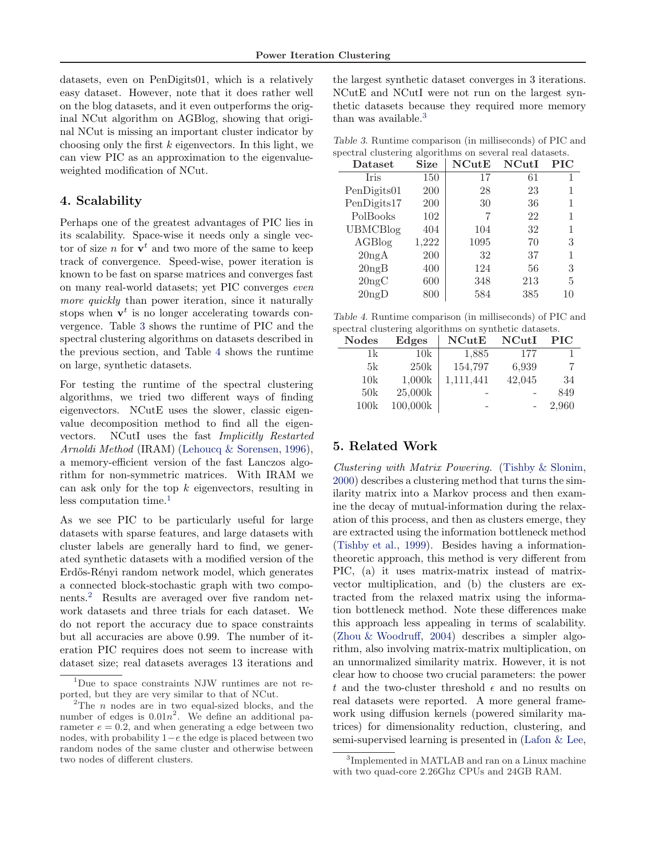datasets, even on PenDigits01, which is a relatively easy dataset. However, note that it does rather well on the blog datasets, and it even outperforms the original NCut algorithm on AGBlog, showing that original NCut is missing an important cluster indicator by choosing only the first  $k$  eigenvectors. In this light, we can view PIC as an approximation to the eigenvalueweighted modification of NCut.

### 4. Scalability

Perhaps one of the greatest advantages of PIC lies in its scalability. Space-wise it needs only a single vector of size n for  $v<sup>t</sup>$  and two more of the same to keep track of convergence. Speed-wise, power iteration is known to be fast on sparse matrices and converges fast on many real-world datasets; yet PIC converges even more quickly than power iteration, since it naturally stops when  $v^t$  is no longer accelerating towards convergence. Table 3 shows the runtime of PIC and the spectral clustering algorithms on datasets described in the previous section, and Table 4 shows the runtime on large, synthetic datasets.

For testing the runtime of the spectral clustering algorithms, we tried two different ways of finding eigenvectors. NCutE uses the slower, classic eigenvalue decomposition method to find all the eigenvectors. NCutI uses the fast Implicitly Restarted Arnoldi Method (IRAM) (Lehoucq & Sorensen, 1996), a memory-efficient version of the fast Lanczos algorithm for non-symmetric matrices. With IRAM we can ask only for the top  $k$  eigenvectors, resulting in less computation time.<sup>1</sup>

As we see PIC to be particularly useful for large datasets with sparse features, and large datasets with cluster labels are generally hard to find, we generated synthetic datasets with a modified version of the Erdős-Rényi random network model, which generates a connected block-stochastic graph with two components.<sup>2</sup> Results are averaged over five random network datasets and three trials for each dataset. We do not report the accuracy due to space constraints but all accuracies are above 0.99. The number of iteration PIC requires does not seem to increase with dataset size; real datasets averages 13 iterations and

the largest synthetic dataset converges in 3 iterations. NCutE and NCutI were not run on the largest synthetic datasets because they required more memory than was available.<sup>3</sup>

Table 3. Runtime comparison (in milliseconds) of PIC and spectral clustering algorithms on several real datasets.

| Dataset         | Size  | <b>NCutE</b> | NCutI | <b>PIC</b> |
|-----------------|-------|--------------|-------|------------|
| <b>Iris</b>     | 150   | 17           | 61    | 1          |
| PenDigits01     | 200   | 28           | 23    | 1          |
| PenDigits17     | 200   | 30           | 36    | 1          |
| PolBooks        | 102   | 7            | 22    | 1          |
| <b>UBMCBlog</b> | 404   | 104          | 32    | 1          |
| AGBlog          | 1,222 | 1095         | 70    | 3          |
| $20$ ng $A$     | 200   | 32           | 37    | 1          |
| 20ngB           | 400   | 124          | 56    | 3          |
| $20$ ng $C$     | 600   | 348          | 213   | 5          |
| $20$ ngD        | 800   | 584          | 385   | 10         |

Table 4. Runtime comparison (in milliseconds) of PIC and spectral clustering algorithms on synthetic datasets.

| <b>Nodes</b> | Edges    | <u>UUULUL ULUMUULILEEN ULUULILEEN ULE NIILULEUULU ULU UUUUNUUMUU</u><br>NCutE | NCutI  | <b>PIC</b> |
|--------------|----------|-------------------------------------------------------------------------------|--------|------------|
| 1k           | 10k      | 1,885                                                                         | 177    |            |
| 5k           | 250k     | 154,797                                                                       | 6,939  |            |
| 10k          | 1,000k   | 1,111,441                                                                     | 42,045 | 34         |
| 50k          | 25,000k  |                                                                               |        | 849        |
| 100k         | 100,000k |                                                                               |        | 2,960      |

# 5. Related Work

Clustering with Matrix Powering. (Tishby & Slonim, 2000) describes a clustering method that turns the similarity matrix into a Markov process and then examine the decay of mutual-information during the relaxation of this process, and then as clusters emerge, they are extracted using the information bottleneck method (Tishby et al., 1999). Besides having a informationtheoretic approach, this method is very different from PIC, (a) it uses matrix-matrix instead of matrixvector multiplication, and (b) the clusters are extracted from the relaxed matrix using the information bottleneck method. Note these differences make this approach less appealing in terms of scalability. (Zhou & Woodruff, 2004) describes a simpler algorithm, also involving matrix-matrix multiplication, on an unnormalized similarity matrix. However, it is not clear how to choose two crucial parameters: the power t and the two-cluster threshold  $\epsilon$  and no results on real datasets were reported. A more general framework using diffusion kernels (powered similarity matrices) for dimensionality reduction, clustering, and semi-supervised learning is presented in (Lafon & Lee,

<sup>1</sup>Due to space constraints NJW runtimes are not reported, but they are very similar to that of NCut.

<sup>&</sup>lt;sup>2</sup>The *n* nodes are in two equal-sized blocks, and the number of edges is  $0.01n^2$ . We define an additional parameter  $e = 0.2$ , and when generating a edge between two nodes, with probability  $1-e$  the edge is placed between two random nodes of the same cluster and otherwise between two nodes of different clusters.

<sup>3</sup> Implemented in MATLAB and ran on a Linux machine with two quad-core 2.26Ghz CPUs and 24GB RAM.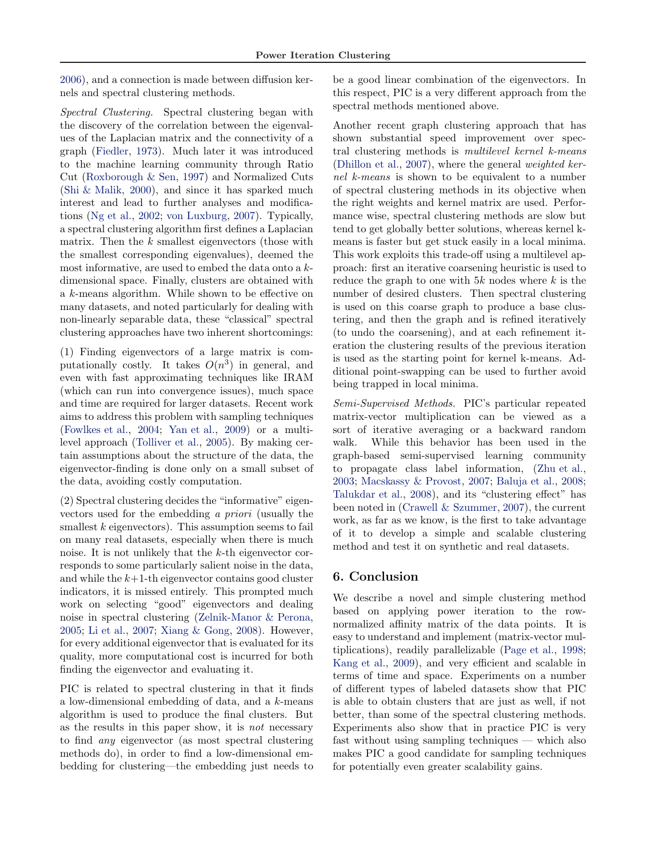2006), and a connection is made between diffusion kernels and spectral clustering methods.

Spectral Clustering. Spectral clustering began with the discovery of the correlation between the eigenvalues of the Laplacian matrix and the connectivity of a graph (Fiedler, 1973). Much later it was introduced to the machine learning community through Ratio Cut (Roxborough & Sen, 1997) and Normalized Cuts (Shi & Malik, 2000), and since it has sparked much interest and lead to further analyses and modifications (Ng et al., 2002; von Luxburg, 2007). Typically, a spectral clustering algorithm first defines a Laplacian matrix. Then the  $k$  smallest eigenvectors (those with the smallest corresponding eigenvalues), deemed the most informative, are used to embed the data onto a kdimensional space. Finally, clusters are obtained with a k-means algorithm. While shown to be effective on many datasets, and noted particularly for dealing with non-linearly separable data, these "classical" spectral clustering approaches have two inherent shortcomings:

(1) Finding eigenvectors of a large matrix is computationally costly. It takes  $O(n^3)$  in general, and even with fast approximating techniques like IRAM (which can run into convergence issues), much space and time are required for larger datasets. Recent work aims to address this problem with sampling techniques (Fowlkes et al., 2004; Yan et al., 2009) or a multilevel approach (Tolliver et al., 2005). By making certain assumptions about the structure of the data, the eigenvector-finding is done only on a small subset of the data, avoiding costly computation.

(2) Spectral clustering decides the "informative" eigenvectors used for the embedding a priori (usually the smallest  $k$  eigenvectors). This assumption seems to fail on many real datasets, especially when there is much noise. It is not unlikely that the k-th eigenvector corresponds to some particularly salient noise in the data, and while the  $k+1$ -th eigenvector contains good cluster indicators, it is missed entirely. This prompted much work on selecting "good" eigenvectors and dealing noise in spectral clustering (Zelnik-Manor & Perona, 2005; Li et al., 2007; Xiang & Gong, 2008). However, for every additional eigenvector that is evaluated for its quality, more computational cost is incurred for both finding the eigenvector and evaluating it.

PIC is related to spectral clustering in that it finds a low-dimensional embedding of data, and a k-means algorithm is used to produce the final clusters. But as the results in this paper show, it is not necessary to find any eigenvector (as most spectral clustering methods do), in order to find a low-dimensional embedding for clustering—the embedding just needs to

be a good linear combination of the eigenvectors. In this respect, PIC is a very different approach from the spectral methods mentioned above.

Another recent graph clustering approach that has shown substantial speed improvement over spectral clustering methods is multilevel kernel k-means (Dhillon et al., 2007), where the general weighted kernel k-means is shown to be equivalent to a number of spectral clustering methods in its objective when the right weights and kernel matrix are used. Performance wise, spectral clustering methods are slow but tend to get globally better solutions, whereas kernel kmeans is faster but get stuck easily in a local minima. This work exploits this trade-off using a multilevel approach: first an iterative coarsening heuristic is used to reduce the graph to one with  $5k$  nodes where  $k$  is the number of desired clusters. Then spectral clustering is used on this coarse graph to produce a base clustering, and then the graph and is refined iteratively (to undo the coarsening), and at each refinement iteration the clustering results of the previous iteration is used as the starting point for kernel k-means. Additional point-swapping can be used to further avoid being trapped in local minima.

Semi-Supervised Methods. PIC's particular repeated matrix-vector multiplication can be viewed as a sort of iterative averaging or a backward random walk. While this behavior has been used in the graph-based semi-supervised learning community to propagate class label information, (Zhu et al., 2003; Macskassy & Provost, 2007; Baluja et al., 2008; Talukdar et al., 2008), and its "clustering effect" has been noted in (Crawell & Szummer, 2007), the current work, as far as we know, is the first to take advantage of it to develop a simple and scalable clustering method and test it on synthetic and real datasets.

# 6. Conclusion

We describe a novel and simple clustering method based on applying power iteration to the rownormalized affinity matrix of the data points. It is easy to understand and implement (matrix-vector multiplications), readily parallelizable (Page et al., 1998; Kang et al., 2009), and very efficient and scalable in terms of time and space. Experiments on a number of different types of labeled datasets show that PIC is able to obtain clusters that are just as well, if not better, than some of the spectral clustering methods. Experiments also show that in practice PIC is very fast without using sampling techniques — which also makes PIC a good candidate for sampling techniques for potentially even greater scalability gains.